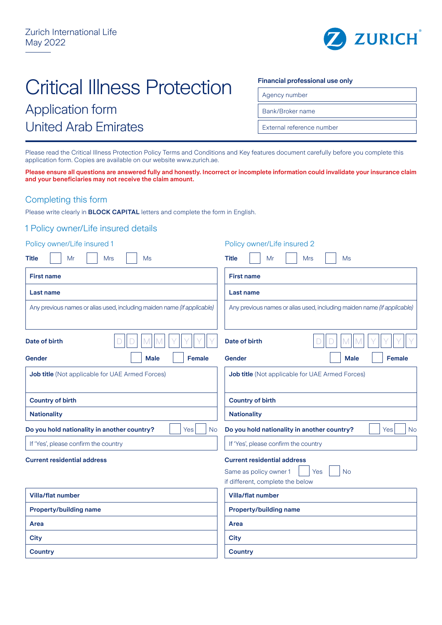

# Critical Illness Protection

## Application form United Arab Emirates

#### **Financial professional use only**

Agency number

Bank/Broker name

External reference number

Please read the Critical Illness Protection Policy Terms and Conditions and Key features document carefully before you complete this application form. Copies are available on our website www.zurich.ae.

**Please ensure all questions are answered fully and honestly. Incorrect or incomplete information could invalidate your insurance claim and your beneficiaries may not receive the claim amount.**

## Completing this form

Please write clearly in **BLOCK CAPITAL** letters and complete the form in English.

## 1 Policy owner/Life insured details

| Policy owner/Life insured 1                                             | Policy owner/Life insured 2                                                                                          |  |  |  |
|-------------------------------------------------------------------------|----------------------------------------------------------------------------------------------------------------------|--|--|--|
| <b>Title</b><br>Mr<br><b>Mrs</b><br>Ms                                  | <b>Title</b><br>Mr<br><b>Mrs</b><br>Ms                                                                               |  |  |  |
| <b>First name</b>                                                       | <b>First name</b>                                                                                                    |  |  |  |
| Last name                                                               | Last name                                                                                                            |  |  |  |
| Any previous names or alias used, including maiden name (if applicable) | Any previous names or alias used, including maiden name (if applicable)                                              |  |  |  |
| Date of birth                                                           | <b>Date of birth</b>                                                                                                 |  |  |  |
| <b>Male</b><br><b>Female</b><br>Gender                                  | Gender<br><b>Male</b><br>Female                                                                                      |  |  |  |
| Job title (Not applicable for UAE Armed Forces)                         | Job title (Not applicable for UAE Armed Forces)                                                                      |  |  |  |
| <b>Country of birth</b>                                                 | <b>Country of birth</b>                                                                                              |  |  |  |
| <b>Nationality</b>                                                      | <b>Nationality</b>                                                                                                   |  |  |  |
| Do you hold nationality in another country?<br><b>No</b><br>Yes         | Do you hold nationality in another country?<br>Yes<br><b>No</b>                                                      |  |  |  |
| If 'Yes', please confirm the country                                    | If 'Yes', please confirm the country                                                                                 |  |  |  |
| <b>Current residential address</b>                                      | <b>Current residential address</b><br>Same as policy owner 1<br><b>No</b><br>Yes<br>if different, complete the below |  |  |  |
| <b>Villa/flat number</b>                                                | <b>Villa/flat number</b>                                                                                             |  |  |  |
| <b>Property/building name</b>                                           | <b>Property/building name</b>                                                                                        |  |  |  |
| Area                                                                    | Area                                                                                                                 |  |  |  |
| <b>City</b>                                                             | <b>City</b>                                                                                                          |  |  |  |
| <b>Country</b>                                                          | <b>Country</b>                                                                                                       |  |  |  |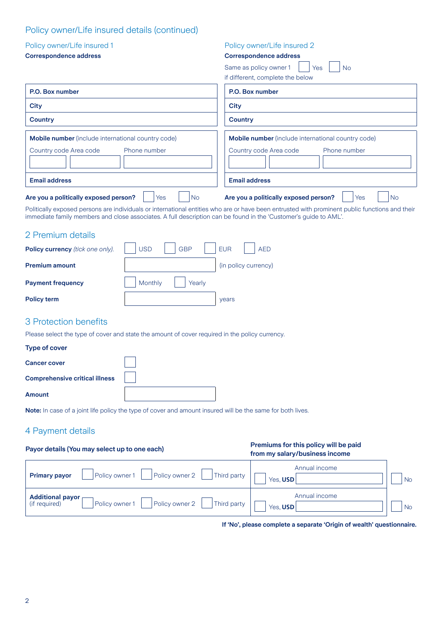## Policy owner/Life insured details (continued)

| Policy owner/Life insured 1                                                                                                                                                                                                                                        |                          | Policy owner/Life insured 2                                             |                  |
|--------------------------------------------------------------------------------------------------------------------------------------------------------------------------------------------------------------------------------------------------------------------|--------------------------|-------------------------------------------------------------------------|------------------|
| <b>Correspondence address</b>                                                                                                                                                                                                                                      |                          | <b>Correspondence address</b><br>Same as policy owner 1<br>Yes          | <b>No</b>        |
|                                                                                                                                                                                                                                                                    |                          | if different, complete the below                                        |                  |
| P.O. Box number                                                                                                                                                                                                                                                    |                          | P.O. Box number                                                         |                  |
| City                                                                                                                                                                                                                                                               |                          | <b>City</b>                                                             |                  |
| <b>Country</b>                                                                                                                                                                                                                                                     |                          | <b>Country</b>                                                          |                  |
| <b>Mobile number</b> (include international country code)                                                                                                                                                                                                          |                          | <b>Mobile number</b> (include international country code)               |                  |
| Country code Area code                                                                                                                                                                                                                                             | Phone number             | Country code Area code                                                  | Phone number     |
|                                                                                                                                                                                                                                                                    |                          |                                                                         |                  |
| <b>Email address</b>                                                                                                                                                                                                                                               |                          | <b>Email address</b>                                                    |                  |
| Are you a politically exposed person?                                                                                                                                                                                                                              | <b>No</b><br>Yes         | Are you a politically exposed person?                                   | <b>No</b><br>Yes |
| Politically exposed persons are individuals or international entities who are or have been entrusted with prominent public functions and their<br>immediate family members and close associates. A full description can be found in the 'Customer's guide to AML'. |                          |                                                                         |                  |
| 2 Premium details                                                                                                                                                                                                                                                  |                          |                                                                         |                  |
| Policy currency (tick one only).                                                                                                                                                                                                                                   | <b>USD</b><br><b>GBP</b> | <b>EUR</b><br><b>AED</b>                                                |                  |
| <b>Premium amount</b>                                                                                                                                                                                                                                              |                          | (in policy currency)                                                    |                  |
| <b>Payment frequency</b>                                                                                                                                                                                                                                           | Monthly<br>Yearly        |                                                                         |                  |
| <b>Policy term</b>                                                                                                                                                                                                                                                 |                          | years                                                                   |                  |
| 3 Protection benefits                                                                                                                                                                                                                                              |                          |                                                                         |                  |
| Please select the type of cover and state the amount of cover required in the policy currency.                                                                                                                                                                     |                          |                                                                         |                  |
| <b>Type of cover</b>                                                                                                                                                                                                                                               |                          |                                                                         |                  |
| <b>Cancer cover</b>                                                                                                                                                                                                                                                |                          |                                                                         |                  |
| <b>Comprehensive critical illness</b>                                                                                                                                                                                                                              |                          |                                                                         |                  |
| <b>Amount</b>                                                                                                                                                                                                                                                      |                          |                                                                         |                  |
| Note: In case of a joint life policy the type of cover and amount insured will be the same for both lives.                                                                                                                                                         |                          |                                                                         |                  |
| 4 Payment details                                                                                                                                                                                                                                                  |                          |                                                                         |                  |
| Payor details (You may select up to one each)                                                                                                                                                                                                                      |                          | Premiums for this policy will be paid<br>from my salary/business income |                  |



**If 'No', please complete a separate 'Origin of wealth' questionnaire.**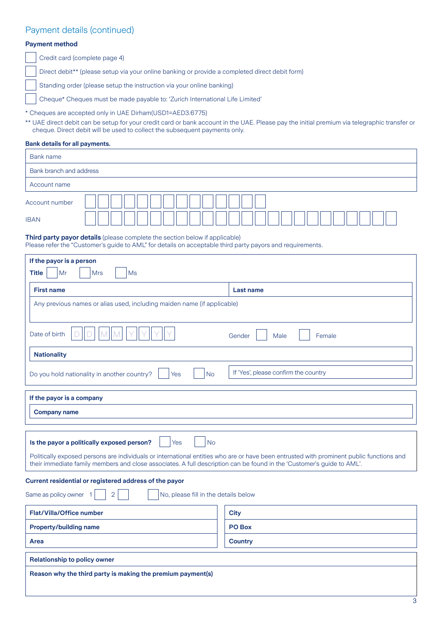## Payment details (continued)

### **Payment method**

Credit card (complete page 4)

Direct debit\*\* (please setup via your online banking or provide a completed direct debit form)

Standing order (please setup the instruction via your online banking)

Cheque\* Cheques must be made payable to: 'Zurich International Life Limited'

\* Cheques are accepted only in UAE Dirham(USD1=AED3.6775)

\*\* UAE direct debit can be setup for your credit card or bank account in the UAE. Please pay the initial premium via telegraphic transfer or cheque. Direct debit will be used to collect the subsequent payments only.

#### **Bank details for all payments.**

| <b>Bank name</b>        |  |  |  |  |  |
|-------------------------|--|--|--|--|--|
| Bank branch and address |  |  |  |  |  |
| Account name            |  |  |  |  |  |
| Account number          |  |  |  |  |  |
| <b>IBAN</b>             |  |  |  |  |  |

#### **Third party payor details** (please complete the section below if applicable) Please refer the "Customer's guide to AML" for details on acceptable third party payors and requirements.

| If the payor is a person                                                                                                                                                                                                                                           |                                      |  |  |  |  |
|--------------------------------------------------------------------------------------------------------------------------------------------------------------------------------------------------------------------------------------------------------------------|--------------------------------------|--|--|--|--|
| <b>Title</b><br>Mr<br><b>Mrs</b><br>Ms                                                                                                                                                                                                                             |                                      |  |  |  |  |
| <b>First name</b><br>Last name                                                                                                                                                                                                                                     |                                      |  |  |  |  |
| Any previous names or alias used, including maiden name (if applicable)                                                                                                                                                                                            |                                      |  |  |  |  |
|                                                                                                                                                                                                                                                                    |                                      |  |  |  |  |
| Date of birth                                                                                                                                                                                                                                                      | Gender<br>Male<br>Female             |  |  |  |  |
| <b>Nationality</b>                                                                                                                                                                                                                                                 |                                      |  |  |  |  |
| Do you hold nationality in another country?<br><b>No</b><br>Yes                                                                                                                                                                                                    | If 'Yes', please confirm the country |  |  |  |  |
| If the payor is a company                                                                                                                                                                                                                                          |                                      |  |  |  |  |
| <b>Company name</b>                                                                                                                                                                                                                                                |                                      |  |  |  |  |
|                                                                                                                                                                                                                                                                    |                                      |  |  |  |  |
| Is the payor a politically exposed person?<br>Yes<br><b>No</b>                                                                                                                                                                                                     |                                      |  |  |  |  |
| Politically exposed persons are individuals or international entities who are or have been entrusted with prominent public functions and<br>their immediate family members and close associates. A full description can be found in the 'Customer's guide to AML'. |                                      |  |  |  |  |
| Current residential or registered address of the payor                                                                                                                                                                                                             |                                      |  |  |  |  |
| Same as policy owner<br>2<br>No, please fill in the details below                                                                                                                                                                                                  |                                      |  |  |  |  |
| Flat/Villa/Office number                                                                                                                                                                                                                                           | <b>City</b>                          |  |  |  |  |
| PO Box<br><b>Property/building name</b>                                                                                                                                                                                                                            |                                      |  |  |  |  |
| Area                                                                                                                                                                                                                                                               | <b>Country</b>                       |  |  |  |  |
| <b>Relationship to policy owner</b>                                                                                                                                                                                                                                |                                      |  |  |  |  |
| Reason why the third party is making the premium payment(s)                                                                                                                                                                                                        |                                      |  |  |  |  |
|                                                                                                                                                                                                                                                                    |                                      |  |  |  |  |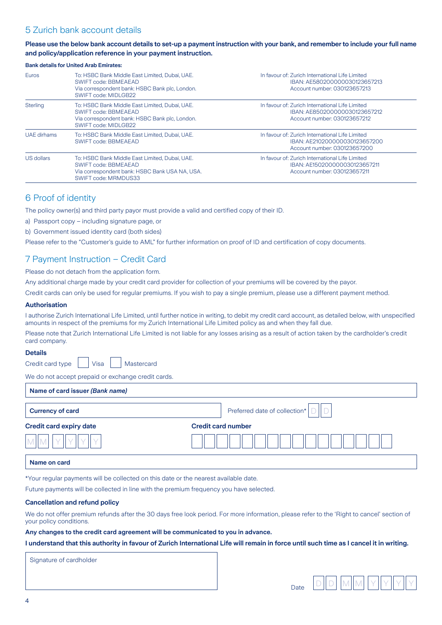## 5 Zurich bank account details

#### **Please use the below bank account details to set-up a payment instruction with your bank, and remember to include your full name and policy/application reference in your payment instruction.**

| <b>Bank details for United Arab Emirates:</b> |                                                                                                                                                  |                                                                                                                  |  |  |  |  |
|-----------------------------------------------|--------------------------------------------------------------------------------------------------------------------------------------------------|------------------------------------------------------------------------------------------------------------------|--|--|--|--|
| <b>Euros</b>                                  | To: HSBC Bank Middle East Limited, Dubai, UAE.<br>SWIFT code: BBMEAEAD<br>Via correspondent bank: HSBC Bank plc, London.<br>SWIFT code: MIDLGB22 | In favour of: Zurich International Life Limited<br>IBAN: AE580200000030123657213<br>Account number: 030123657213 |  |  |  |  |
| <b>Sterling</b>                               | To: HSBC Bank Middle East Limited, Dubai, UAE.<br>SWIFT code: BBMEAEAD<br>Via correspondent bank: HSBC Bank plc, London.<br>SWIFT code: MIDLGB22 | In favour of: Zurich International Life Limited<br>IBAN: AE850200000030123657212<br>Account number: 030123657212 |  |  |  |  |
| UAE dirhams                                   | To: HSBC Bank Middle East Limited, Dubai, UAE.<br>SWIFT code: BBMEAEAD                                                                           | In favour of: Zurich International Life Limited<br>IBAN: AE210200000030123657200<br>Account number: 030123657200 |  |  |  |  |
| US dollars                                    | To: HSBC Bank Middle East Limited, Dubai, UAE.<br>SWIFT code: BBMEAEAD<br>Via correspondent bank: HSBC Bank USA NA, USA.<br>SWIFT code: MRMDUS33 | In favour of: Zurich International Life Limited<br>IBAN: AE150200000030123657211<br>Account number: 030123657211 |  |  |  |  |

## 6 Proof of identity

The policy owner(s) and third party payor must provide a valid and certified copy of their ID.

a) Passport copy – including signature page, or

b) Government issued identity card (both sides)

Please refer to the "Customer's guide to AML" for further information on proof of ID and certification of copy documents.

## 7 Payment Instruction – Credit Card

Please do not detach from the application form.

Any additional charge made by your credit card provider for collection of your premiums will be covered by the payor.

Credit cards can only be used for regular premiums. If you wish to pay a single premium, please use a different payment method.

#### **Authorisation**

I authorise Zurich International Life Limited, until further notice in writing, to debit my credit card account, as detailed below, with unspecified amounts in respect of the premiums for my Zurich International Life Limited policy as and when they fall due.

Please note that Zurich International Life Limited is not liable for any losses arising as a result of action taken by the cardholder's credit card company.

#### **Details**

Credit card type  $\vert \vert$  Visa  $\vert \vert$  Mastercard

We do not accept prepaid or exchange credit cards.

#### **Name of card issuer** *(Bank name)*

| <b>Currency of card</b>        | Preferred date of collection* |
|--------------------------------|-------------------------------|
| <b>Credit card expiry date</b> | <b>Credit card number</b>     |
|                                |                               |

#### **Name on card**

\*Your regular payments will be collected on this date or the nearest available date.

Future payments will be collected in line with the premium frequency you have selected.

#### **Cancellation and refund policy**

We do not offer premium refunds after the 30 days free look period. For more information, please refer to the 'Right to cancel' section of your policy conditions.

#### **Any changes to the credit card agreement will be communicated to you in advance.**

**I understand that this authority in favour of Zurich International Life will remain in force until such time as I cancel it in writing.**

Signature of cardholder

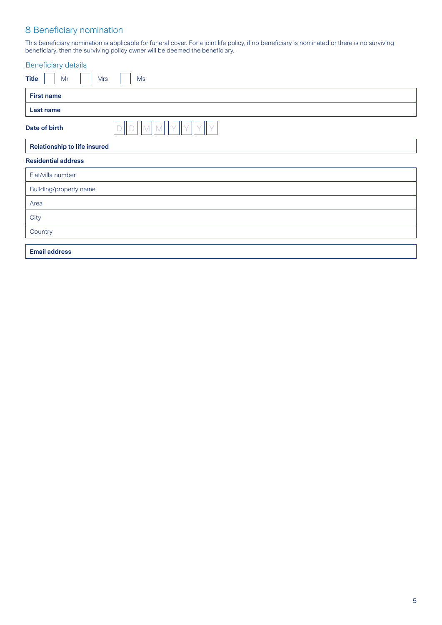## 8 Beneficiary nomination

This beneficiary nomination is applicable for funeral cover. For a joint life policy, if no beneficiary is nominated or there is no surviving beneficiary, then the surviving policy owner will be deemed the beneficiary.

| <b>Beneficiary details</b>             |  |  |  |  |  |  |
|----------------------------------------|--|--|--|--|--|--|
| <b>Title</b><br>Mr<br><b>Mrs</b><br>Ms |  |  |  |  |  |  |
| <b>First name</b>                      |  |  |  |  |  |  |
| Last name                              |  |  |  |  |  |  |
| Date of birth                          |  |  |  |  |  |  |
| <b>Relationship to life insured</b>    |  |  |  |  |  |  |
| <b>Residential address</b>             |  |  |  |  |  |  |
| Flat/villa number                      |  |  |  |  |  |  |
| Building/property name                 |  |  |  |  |  |  |
| Area                                   |  |  |  |  |  |  |
| City                                   |  |  |  |  |  |  |
| Country                                |  |  |  |  |  |  |
| <b>Email address</b>                   |  |  |  |  |  |  |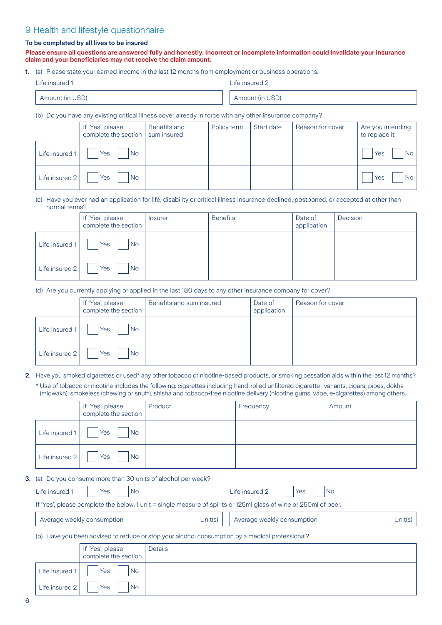## 9 Health and lifestyle questionnaire

#### **To be completed by all lives to be insured**

**Please ensure all questions are answered fully and honestly. Incorrect or incomplete information could invalidate your insurance claim and your beneficiaries may not receive the claim amount.**

**1.** (a) Please state your earned income in the last 12 months from employment or business operations.

| Life insured 1 |                 | Life insured 2 |                 |
|----------------|-----------------|----------------|-----------------|
|                | Amount (in USD) |                | Amount (in USD) |

(b) Do you have any existing critical illness cover already in force with any other insurance company?

|                | If 'Yes', please<br>complete the section   sum insured | <b>Benefits and</b> | Policy term | Start date | Reason for cover | Are you intending<br>to replace it |
|----------------|--------------------------------------------------------|---------------------|-------------|------------|------------------|------------------------------------|
| Life insured 1 | Yes<br><b>No</b>                                       |                     |             |            |                  | <b>No</b><br>Yes                   |
| Life insured 2 | Yes<br><b>No</b>                                       |                     |             |            |                  | <b>No</b><br>Yes                   |

(c) Have you ever had an application for life, disability or critical illness insurance declined, postponed, or accepted at other than normal terms?

|                | If 'Yes', please<br>complete the section | Insurer | <b>Benefits</b> | Date of<br>application | Decision |
|----------------|------------------------------------------|---------|-----------------|------------------------|----------|
| Life insured 1 | <b>No</b><br>Yes                         |         |                 |                        |          |
| Life insured 2 | Yes<br><b>No</b>                         |         |                 |                        |          |

(d) Are you currently applying or applied in the last 180 days to any other insurance company for cover?

|                | If 'Yes', please<br>complete the section | Benefits and sum insured | Date of<br>application | Reason for cover |
|----------------|------------------------------------------|--------------------------|------------------------|------------------|
| Life insured 1 | Yes<br>No.                               |                          |                        |                  |
| Life insured 2 | No.<br>Yes                               |                          |                        |                  |

**2.** Have you smoked cigarettes or used\* any other tobacco or nicotine-based products, or smoking cessation aids within the last 12 months?

\* Use of tobacco or nicotine includes the following: cigarettes including hand-rolled unfiltered cigarette- variants, cigars, pipes, dokha (midwakh), smokeless (chewing or snuff), shisha and tobacco-free nicotine delivery (nicotine gums, vape, e-cigarettes) among others.

|               |                                                                                                    | If 'Yes', please<br>complete the section | Product                                                | Frequency                                                                                                        | Amount    |  |
|---------------|----------------------------------------------------------------------------------------------------|------------------------------------------|--------------------------------------------------------|------------------------------------------------------------------------------------------------------------------|-----------|--|
|               | Life insured 1                                                                                     | Yes<br><b>No</b>                         |                                                        |                                                                                                                  |           |  |
|               | Life insured 2                                                                                     | <b>No</b><br>Yes                         |                                                        |                                                                                                                  |           |  |
| <b>3.</b> (a) |                                                                                                    |                                          | Do you consume more than 30 units of alcohol per week? |                                                                                                                  |           |  |
|               | Life insured 1                                                                                     | <b>No</b><br>Yes                         |                                                        | Life insured 2<br>Yes                                                                                            | <b>No</b> |  |
|               |                                                                                                    |                                          |                                                        | If 'Yes', please complete the below. 1 unit = single measure of spirits or 125ml glass of wine or 250ml of beer. |           |  |
|               |                                                                                                    | Average weekly consumption               | Unit(s)                                                | Average weekly consumption                                                                                       | Unit(s)   |  |
|               | Have you been advised to reduce or stop your alcohol consumption by a medical professional?<br>(b) |                                          |                                                        |                                                                                                                  |           |  |
|               |                                                                                                    | If 'Yes', please<br>complete the section | Details                                                |                                                                                                                  |           |  |
|               |                                                                                                    |                                          |                                                        |                                                                                                                  |           |  |

6

Life insured  $1 \mid \cdot \mid \text{Yes} \mid \cdot \mid \text{No}$ 

Life insured  $2 \mid \cdot \cdot \mid$  Yes  $\mid \cdot \mid$  No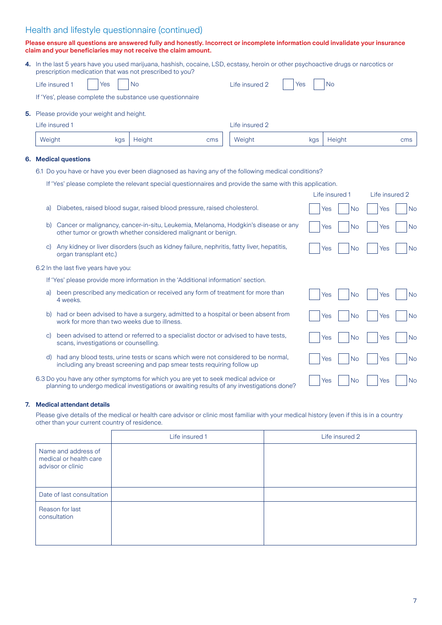## Health and lifestyle questionnaire (continued)

#### **Please ensure all questions are answered fully and honestly. Incorrect or incomplete information could invalidate your insurance claim and your beneficiaries may not receive the claim amount.**

| 4. In the last 5 years have you used marijuana, hashish, cocaine, LSD, ecstasy, heroin or other psychoactive drugs or narcotics or<br>prescription medication that was not prescribed to you? |  |  |  |  |  |  |                                     |  |  |  |  |
|-----------------------------------------------------------------------------------------------------------------------------------------------------------------------------------------------|--|--|--|--|--|--|-------------------------------------|--|--|--|--|
| Life insured 1   Yes   No                                                                                                                                                                     |  |  |  |  |  |  | Life insured 2 $\Box$ Yes $\Box$ No |  |  |  |  |

If 'Yes', please complete the substance use questionnaire

**5.** Please provide your weight and height.

| Life insured 1 |     |        |     | Life insured 2 |     |        |     |  |
|----------------|-----|--------|-----|----------------|-----|--------|-----|--|
| Weight         | kgs | Height | cms | Weight         | kgs | Height | cms |  |

#### **6. Medical questions**

- 6.1 Do you have or have you ever been diagnosed as having any of the following medical conditions?
	- If 'Yes' please complete the relevant special questionnaires and provide the same with this application.

|               |                                                                                            | Life insured 1   | Life insured 2   |
|---------------|--------------------------------------------------------------------------------------------|------------------|------------------|
| a)            | Diabetes, raised blood sugar, raised blood pressure, raised cholesterol.                   | <b>No</b><br>Yes | <b>No</b><br>Yes |
| b)            | Cancer or malignancy, cancer-in-situ, Leukemia, Melanoma, Hodgkin's disease or any         | <b>No</b>        | Yes              |
|               | other tumor or growth whether considered malignant or benign.                              | Yes              | <b>No</b>        |
| C)            | Any kidney or liver disorders (such as kidney failure, nephritis, fatty liver, hepatitis,  | N <sub>o</sub>   | <b>No</b>        |
|               | organ transplant etc.)                                                                     | Yes              | Yes              |
|               | 6.2 In the last five years have you:                                                       |                  |                  |
|               | If 'Yes' please provide more information in the 'Additional information' section.          |                  |                  |
| a)            | been prescribed any medication or received any form of treatment for more than             | Yes              | <b>No</b>        |
|               | 4 weeks.                                                                                   | <b>No</b>        | Yes              |
| b)            | had or been advised to have a surgery, admitted to a hospital or been absent from          | N <sub>o</sub>   | <b>No</b>        |
|               | work for more than two weeks due to illness.                                               | Yes              | Yes              |
| $\mathcal{C}$ | been advised to attend or referred to a specialist doctor or advised to have tests,        | <b>No</b>        | <b>No</b>        |
|               | scans, investigations or counselling.                                                      | Yes              | Yes              |
| d)            | had any blood tests, urine tests or scans which were not considered to be normal,          | Yes              | <b>No</b>        |
|               | including any breast screening and pap smear tests requiring follow up                     | N <sub>o</sub>   | Yes              |
|               | 6.3 Do you have any other symptoms for which you are yet to seek medical advice or         | N <sub>o</sub>   | <b>No</b>        |
|               | planning to undergo medical investigations or awaiting results of any investigations done? | Yes              | Yes              |

#### **7. Medical attendant details**

Please give details of the medical or health care advisor or clinic most familiar with your medical history (even if this is in a country other than your current country of residence.

|                                                                    | Life insured 1 | Life insured 2 |
|--------------------------------------------------------------------|----------------|----------------|
| Name and address of<br>medical or health care<br>advisor or clinic |                |                |
| Date of last consultation                                          |                |                |
| Reason for last<br>consultation                                    |                |                |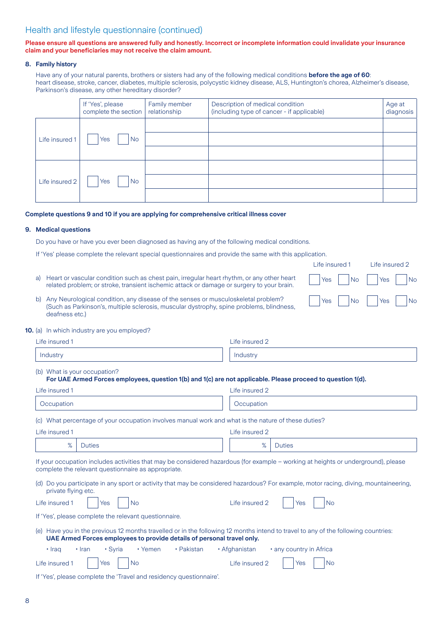## Health and lifestyle questionnaire (continued)

#### **Please ensure all questions are answered fully and honestly. Incorrect or incomplete information could invalidate your insurance claim and your beneficiaries may not receive the claim amount.**

#### **8. Family history**

Have any of your natural parents, brothers or sisters had any of the following medical conditions **before the age of 60**: heart disease, stroke, cancer, diabetes, multiple sclerosis, polycystic kidney disease, ALS, Huntington's chorea, Alzheimer's disease, Parkinson's disease, any other hereditary disorder?

|                | If 'Yes', please<br>complete the section | Family member<br>relationship | Description of medical condition<br>(including type of cancer - if applicable) | Age at<br>diagnosis |
|----------------|------------------------------------------|-------------------------------|--------------------------------------------------------------------------------|---------------------|
|                |                                          |                               |                                                                                |                     |
| Life insured 1 | Yes<br><b>No</b>                         |                               |                                                                                |                     |
|                |                                          |                               |                                                                                |                     |
|                |                                          |                               |                                                                                |                     |
| Life insured 2 | Yes<br><b>No</b>                         |                               |                                                                                |                     |
|                |                                          |                               |                                                                                |                     |

Life insured 1 Life insured 2

|Yes | |No | |Yes | |No

|Yes | |No | |Yes | |No

#### **Complete questions 9 and 10 if you are applying for comprehensive critical illness cover**

#### **9. Medical questions**

Do you have or have you ever been diagnosed as having any of the following medical conditions.

If 'Yes' please complete the relevant special questionnaires and provide the same with this application.

% Duties % Duties

- a) Heart or vascular condition such as chest pain, irregular heart rhythm, or any other heart related problem; or stroke, transient ischemic attack or damage or surgery to your brain.
- b) Any Neurological condition, any disease of the senses or musculoskeletal problem? (Such as Parkinson's, multiple sclerosis, muscular dystrophy, spine problems, blindness, deafness etc.)

#### **10.** (a) In which industry are you employed?

| Life insured 1                                                                                                                              | Life insured 2 |  |  |  |  |  |  |
|---------------------------------------------------------------------------------------------------------------------------------------------|----------------|--|--|--|--|--|--|
| Industry                                                                                                                                    | Industry       |  |  |  |  |  |  |
| (b) What is your occupation?<br>For UAE Armed Forces employees, question 1(b) and 1(c) are not applicable. Please proceed to question 1(d). |                |  |  |  |  |  |  |
| Life insured 1                                                                                                                              | Life insured 2 |  |  |  |  |  |  |
| Occupation                                                                                                                                  | Occupation     |  |  |  |  |  |  |
| (c) What percentage of your occupation involves manual work and what is the nature of these duties?                                         |                |  |  |  |  |  |  |
| Life insured 1                                                                                                                              | Life insured 2 |  |  |  |  |  |  |

If your occupation includes activities that may be considered hazardous (for example – working at heights or underground), please complete the relevant questionnaire as appropriate.

(d) Do you participate in any sport or activity that may be considered hazardous? For example, motor racing, diving, mountaineering, private flying etc.

|                                                                                                                                                                                                              | Life insured 1   Yes   No                       | Life insured $2 \mid \cdot$<br>Yes<br>1 <sub>No</sub>          |  |  |  |  |
|--------------------------------------------------------------------------------------------------------------------------------------------------------------------------------------------------------------|-------------------------------------------------|----------------------------------------------------------------|--|--|--|--|
| If 'Yes', please complete the relevant questionnaire.                                                                                                                                                        |                                                 |                                                                |  |  |  |  |
| (e) Have you in the previous 12 months travelled or in the following 12 months intend to travel to any of the following countries:<br>UAE Armed Forces employees to provide details of personal travel only. |                                                 |                                                                |  |  |  |  |
| $\cdot$ Iran<br>$\cdot$ Iraq                                                                                                                                                                                 | • Svria                                         | • Yemen • Pakistan<br>• Afghanistan<br>• any country in Africa |  |  |  |  |
|                                                                                                                                                                                                              | Life insured $1$   $\sqrt{2}$   $\sqrt{2}$   No | Life insured 2     Yes     No                                  |  |  |  |  |

| If 'Yes', please complete the 'Travel and residency questionnaire'. |  |  |  |
|---------------------------------------------------------------------|--|--|--|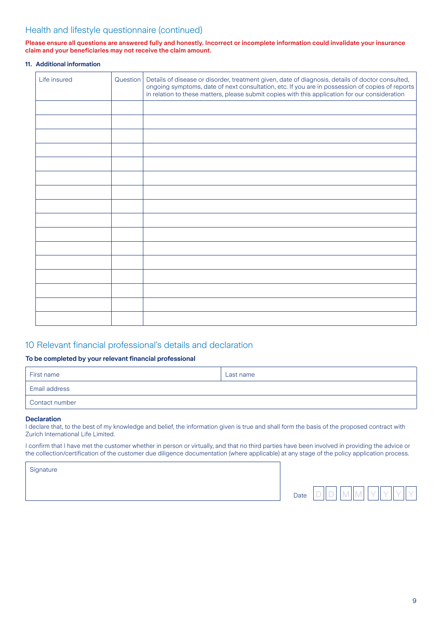## Health and lifestyle questionnaire (continued)

#### **Please ensure all questions are answered fully and honestly. Incorrect or incomplete information could invalidate your insurance claim and your beneficiaries may not receive the claim amount.**

#### **11. Additional information**

| Life insured | Question   Details of disease or disorder, treatment given, date of diagnosis, details of doctor consulted,<br>ongoing symptoms, date of next consultation, etc. If you are in possession of copies of reports<br>in relation to these matters, please submit copies with this application for our consideration |
|--------------|------------------------------------------------------------------------------------------------------------------------------------------------------------------------------------------------------------------------------------------------------------------------------------------------------------------|
|              |                                                                                                                                                                                                                                                                                                                  |
|              |                                                                                                                                                                                                                                                                                                                  |
|              |                                                                                                                                                                                                                                                                                                                  |
|              |                                                                                                                                                                                                                                                                                                                  |
|              |                                                                                                                                                                                                                                                                                                                  |
|              |                                                                                                                                                                                                                                                                                                                  |
|              |                                                                                                                                                                                                                                                                                                                  |
|              |                                                                                                                                                                                                                                                                                                                  |
|              |                                                                                                                                                                                                                                                                                                                  |
|              |                                                                                                                                                                                                                                                                                                                  |
|              |                                                                                                                                                                                                                                                                                                                  |
|              |                                                                                                                                                                                                                                                                                                                  |
|              |                                                                                                                                                                                                                                                                                                                  |
|              |                                                                                                                                                                                                                                                                                                                  |
|              |                                                                                                                                                                                                                                                                                                                  |
|              |                                                                                                                                                                                                                                                                                                                  |

## 10 Relevant financial professional's details and declaration

#### **To be completed by your relevant financial professional**

| First name           | Last name |
|----------------------|-----------|
| <b>Email address</b> |           |
| Contact number       |           |

#### **Declaration**

I declare that, to the best of my knowledge and belief, the information given is true and shall form the basis of the proposed contract with Zurich International Life Limited.

I confirm that I have met the customer whether in person or virtually, and that no third parties have been involved in providing the advice or the collection/certification of the customer due diligence documentation (where applicable) at any stage of the policy application process.

**Signature** 

| ٠<br>late |  |  |  |
|-----------|--|--|--|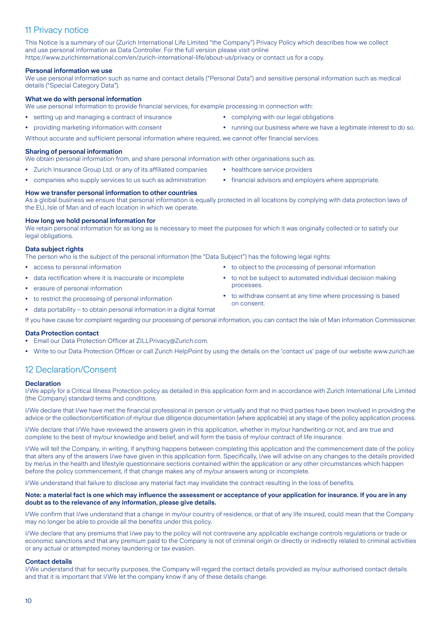## 11 Privacy notice

This Notice is a summary of our (Zurich International Life Limited "the Company") Privacy Policy which describes how we collect and use personal information as Data Controller. For the full version please visit online https://www.zurichinternational.com/en/zurich-international-life/about-us/privacy or contact us for a copy.

#### **Personal information we use**

We use personal information such as name and contact details ("Personal Data") and sensitive personal information such as medical details ("Special Category Data").

#### **What we do with personal information**

We use personal information to provide financial services, for example processing in connection with:

- **•** setting up and managing a contract of insurance
- **•** providing marketing information with consent
- **•** complying with our legal obligations
- **•** running our business where we have a legitimate interest to do so.

Without accurate and sufficient personal information where required, we cannot offer financial services.

#### **Sharing of personal information**

We obtain personal information from, and share personal information with other organisations such as:

- **•** Zurich Insurance Group Ltd. or any of its affiliated companies **•** companies who supply services to us such as administration
- **•** healthcare service providers
- **•** financial advisors and employers where appropriate.

#### **How we transfer personal information to other countries**

As a global business we ensure that personal information is equally protected in all locations by complying with data protection laws of the EU, Isle of Man and of each location in which we operate.

#### **How long we hold personal information for**

We retain personal information for as long as is necessary to meet the purposes for which it was originally collected or to satisfy our legal obligations.

#### **Data subject rights**

The person who is the subject of the personal information (the "Data Subject") has the following legal rights:

- **•** access to personal information
- **•** data rectification where it is inaccurate or incomplete
- **•** erasure of personal information
- **•** to restrict the processing of personal information
- **•** data portability to obtain personal information in a digital format

If you have cause for complaint regarding our processing of personal information, you can contact the Isle of Man Information Commissioner.

#### **Data Protection contact**

- **•** Email our Data Protection Officer at ZILLPrivacy@Zurich.com.
- **•** Write to our Data Protection Officer or call Zurich HelpPoint by using the details on the 'contact us' page of our website www.zurich.ae

## 12 Declaration/Consent

#### **Declaration**

I/We apply for a Critical Illness Protection policy as detailed in this application form and in accordance with Zurich International Life Limited (the Company) standard terms and conditions.

I/We declare that I/we have met the financial professional in person or virtually and that no third parties have been involved in providing the advice or the collection/certification of my/our due diligence documentation (where applicable) at any stage of the policy application process.

I/We declare that I/We have reviewed the answers given in this application, whether in my/our handwriting or not, and are true and complete to the best of my/our knowledge and belief, and will form the basis of my/our contract of life insurance.

I/We will tell the Company, in writing, if anything happens between completing this application and the commencement date of the policy that alters any of the answers I/we have given in this application form. Specifically, I/we will advise on any changes to the details provided by me/us in the health and lifestyle questionnaire sections contained within the application or any other circumstances which happen before the policy commencement, if that change makes any of my/our answers wrong or incomplete.

I/We understand that failure to disclose any material fact may invalidate the contract resulting in the loss of benefits.

#### **Note: a material fact is one which may influence the assessment or acceptance of your application for insurance. If you are in any doubt as to the relevance of any information, please give details.**

I/We confirm that I/we understand that a change in my/our country of residence, or that of any life insured, could mean that the Company may no longer be able to provide all the benefits under this policy.

I/We declare that any premiums that I/we pay to the policy will not contravene any applicable exchange controls regulations or trade or economic sanctions and that any premium paid to the Company is not of criminal origin or directly or indirectly related to criminal activities or any actual or attempted money laundering or tax evasion.

#### **Contact details**

I/We understand that for security purposes, the Company will regard the contact details provided as my/our authorised contact details and that it is important that I/We let the company know if any of these details change.

 $1<sub>0</sub>$ 

- 
- **•** to object to the processing of personal information
- **•** to not be subject to automated individual decision making processes.
- **•** to withdraw consent at any time where processing is based on consent.